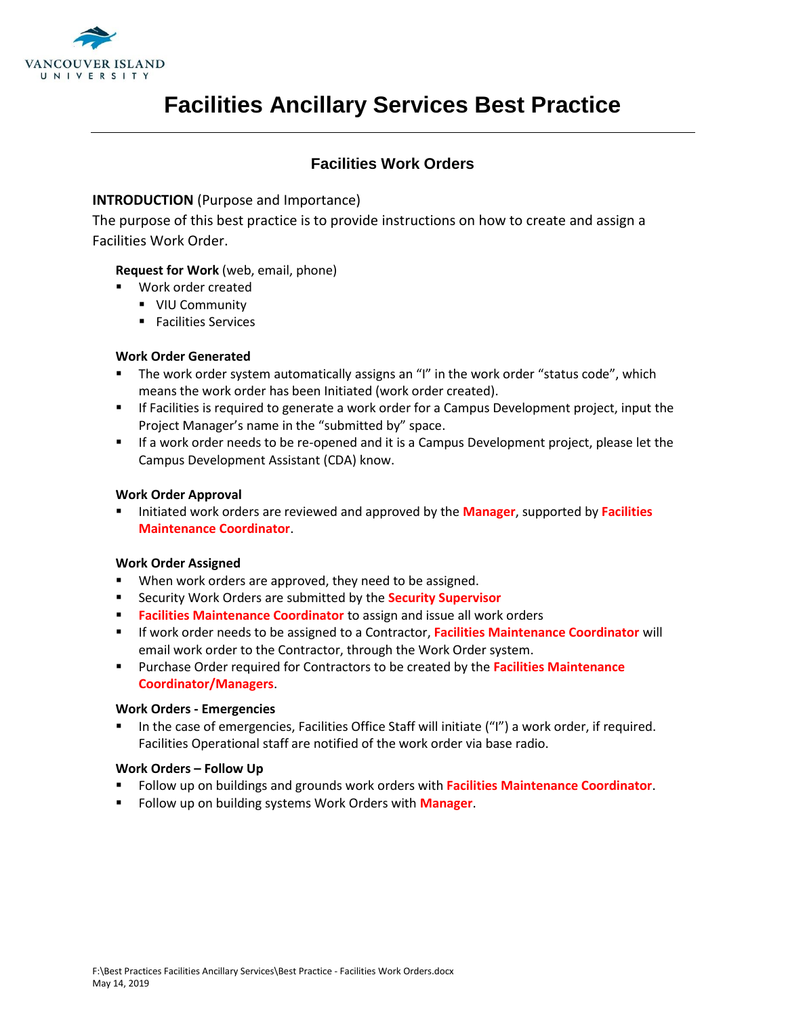

## **Facilities Work Orders**

### **INTRODUCTION** (Purpose and Importance)

The purpose of this best practice is to provide instructions on how to create and assign a Facilities Work Order.

### **Request for Work** (web, email, phone)

- Work order created
	- **VIU Community**
	- Facilities Services

### **Work Order Generated**

- **The work order system automatically assigns an "I" in the work order "status code", which** means the work order has been Initiated (work order created).
- **If Facilities is required to generate a work order for a Campus Development project, input the** Project Manager's name in the "submitted by" space.
- If a work order needs to be re-opened and it is a Campus Development project, please let the Campus Development Assistant (CDA) know.

#### **Work Order Approval**

 Initiated work orders are reviewed and approved by the **Manager**, supported by **Facilities Maintenance Coordinator**.

#### **Work Order Assigned**

- **When work orders are approved, they need to be assigned.**
- Security Work Orders are submitted by the **Security Supervisor**
- **Facilities Maintenance Coordinator** to assign and issue all work orders
- If work order needs to be assigned to a Contractor, **Facilities Maintenance Coordinator** will email work order to the Contractor, through the Work Order system.
- Purchase Order required for Contractors to be created by the **Facilities Maintenance Coordinator/Managers**.

#### **Work Orders - Emergencies**

In the case of emergencies, Facilities Office Staff will initiate ("I") a work order, if required. Facilities Operational staff are notified of the work order via base radio.

#### **Work Orders – Follow Up**

- Follow up on buildings and grounds work orders with **Facilities Maintenance Coordinator**.
- Follow up on building systems Work Orders with **Manager**.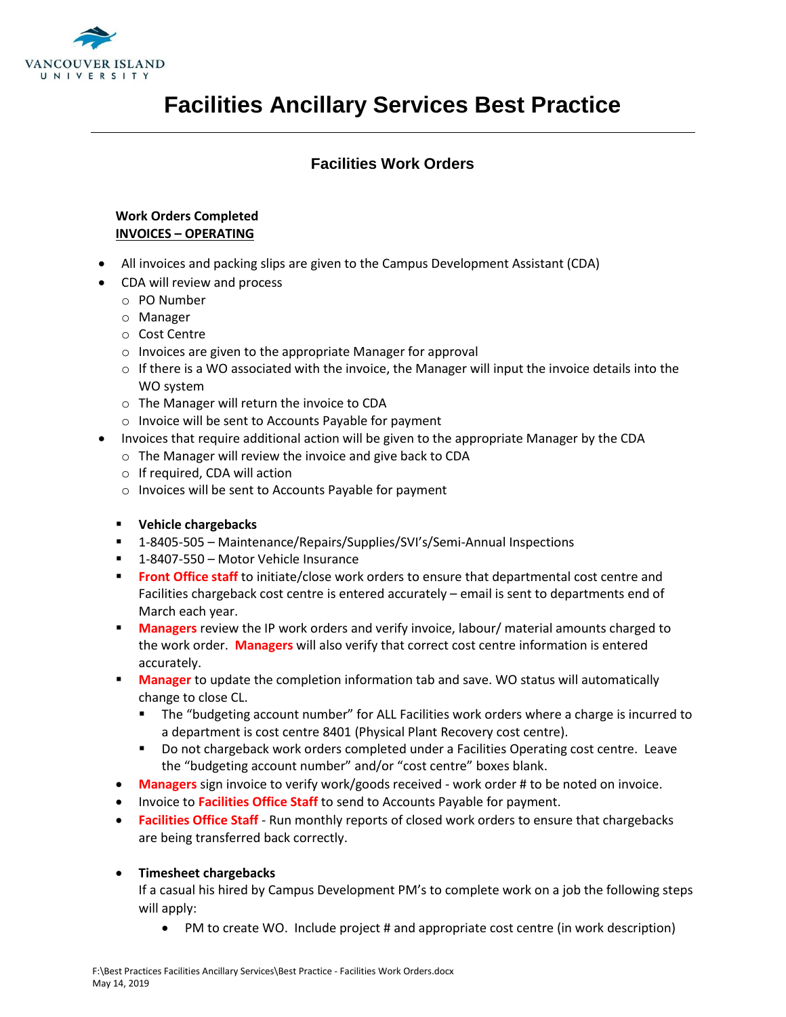

## **Facilities Work Orders**

## **Work Orders Completed INVOICES – OPERATING**

- All invoices and packing slips are given to the Campus Development Assistant (CDA)
- CDA will review and process
	- o PO Number
	- o Manager
	- o Cost Centre
	- o Invoices are given to the appropriate Manager for approval
	- $\circ$  If there is a WO associated with the invoice, the Manager will input the invoice details into the WO system
	- o The Manager will return the invoice to CDA
	- o Invoice will be sent to Accounts Payable for payment
- Invoices that require additional action will be given to the appropriate Manager by the CDA
	- o The Manager will review the invoice and give back to CDA
	- o If required, CDA will action
	- o Invoices will be sent to Accounts Payable for payment
	- **Vehicle chargebacks**
	- 1-8405-505 Maintenance/Repairs/Supplies/SVI's/Semi-Annual Inspections
	- 1-8407-550 Motor Vehicle Insurance
	- **Front Office staff** to initiate/close work orders to ensure that departmental cost centre and Facilities chargeback cost centre is entered accurately – email is sent to departments end of March each year.
	- **Managers** review the IP work orders and verify invoice, labour/ material amounts charged to the work order. **Managers** will also verify that correct cost centre information is entered accurately.
	- **Manager** to update the completion information tab and save. WO status will automatically change to close CL.
		- The "budgeting account number" for ALL Facilities work orders where a charge is incurred to a department is cost centre 8401 (Physical Plant Recovery cost centre).
		- **Do not chargeback work orders completed under a Facilities Operating cost centre. Leave** the "budgeting account number" and/or "cost centre" boxes blank.
	- **Managers** sign invoice to verify work/goods received work order # to be noted on invoice.
	- **Invoice to Facilities Office Staff** to send to Accounts Payable for payment.
	- **Facilities Office Staff** Run monthly reports of closed work orders to ensure that chargebacks are being transferred back correctly.

#### **Timesheet chargebacks**

If a casual his hired by Campus Development PM's to complete work on a job the following steps will apply:

PM to create WO. Include project # and appropriate cost centre (in work description)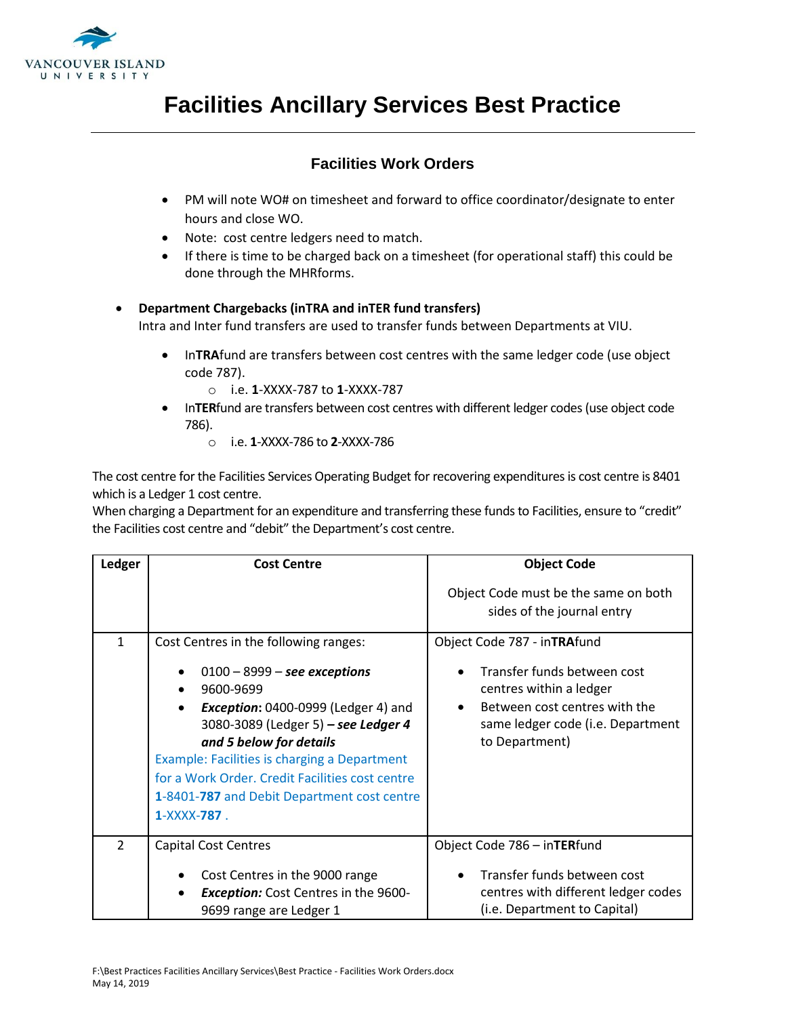

## **Facilities Work Orders**

- PM will note WO# on timesheet and forward to office coordinator/designate to enter hours and close WO.
- Note: cost centre ledgers need to match.
- If there is time to be charged back on a timesheet (for operational staff) this could be done through the MHRforms.

## **Department Chargebacks (inTRA and inTER fund transfers)**

Intra and Inter fund transfers are used to transfer funds between Departments at VIU.

- **InTRA** fund are transfers between cost centres with the same ledger code (use object code 787).
	- o i.e. **1**-XXXX-787 to **1**-XXXX-787
- In**TER**fund are transfers between cost centres with different ledger codes (use object code 786).
	- o i.e. **1**-XXXX-786 to **2**-XXXX-786

The cost centre for the Facilities Services Operating Budget for recovering expenditures is cost centre is 8401 which is a Ledger 1 cost centre.

When charging a Department for an expenditure and transferring these funds to Facilities, ensure to "credit" the Facilities cost centre and "debit" the Department's cost centre.

| Ledger         | <b>Cost Centre</b>                                                                                                                                                                                                                                                                                                                                                | <b>Object Code</b>                                                                                                                                                            |
|----------------|-------------------------------------------------------------------------------------------------------------------------------------------------------------------------------------------------------------------------------------------------------------------------------------------------------------------------------------------------------------------|-------------------------------------------------------------------------------------------------------------------------------------------------------------------------------|
|                |                                                                                                                                                                                                                                                                                                                                                                   | Object Code must be the same on both<br>sides of the journal entry                                                                                                            |
| 1              | Cost Centres in the following ranges:<br>$0100 - 8999 -$ see exceptions<br>9600-9699<br>Exception: 0400-0999 (Ledger 4) and<br>3080-3089 (Ledger 5) - see Ledger 4<br>and 5 below for details<br>Example: Facilities is charging a Department<br>for a Work Order. Credit Facilities cost centre<br>1-8401-787 and Debit Department cost centre<br>$1-XXXX-787$ . | Object Code 787 - inTRAfund<br>Transfer funds between cost<br>centres within a ledger<br>Between cost centres with the<br>same ledger code (i.e. Department<br>to Department) |
| $\overline{2}$ | <b>Capital Cost Centres</b>                                                                                                                                                                                                                                                                                                                                       | Object Code 786 - inTERfund                                                                                                                                                   |
|                | Cost Centres in the 9000 range<br><b>Exception:</b> Cost Centres in the 9600-<br>9699 range are Ledger 1                                                                                                                                                                                                                                                          | Transfer funds between cost<br>centres with different ledger codes<br>(i.e. Department to Capital)                                                                            |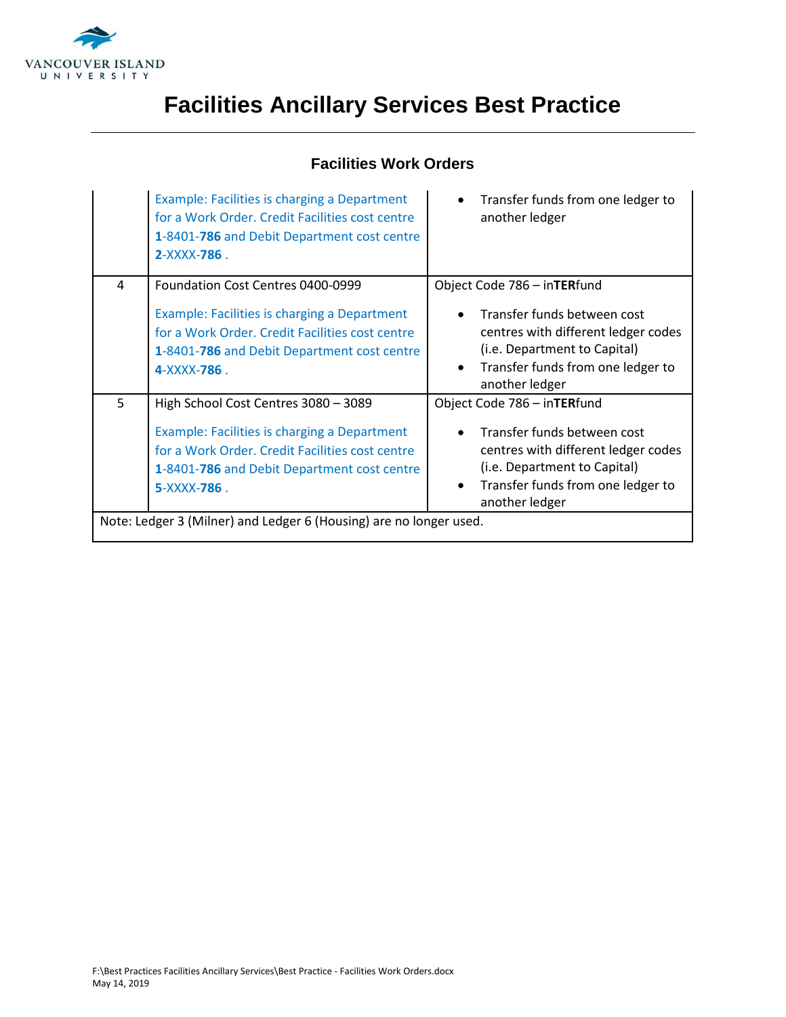

## **Facilities Work Orders**

|                                                                    | Example: Facilities is charging a Department<br>for a Work Order. Credit Facilities cost centre<br>1-8401-786 and Debit Department cost centre<br>$2-XXXX-786$ .                                      | Transfer funds from one ledger to<br>another ledger                                                                                                                                      |  |
|--------------------------------------------------------------------|-------------------------------------------------------------------------------------------------------------------------------------------------------------------------------------------------------|------------------------------------------------------------------------------------------------------------------------------------------------------------------------------------------|--|
| 4                                                                  | Foundation Cost Centres 0400-0999<br>Example: Facilities is charging a Department<br>for a Work Order. Credit Facilities cost centre<br>1-8401-786 and Debit Department cost centre<br>4-XXXX-786.    | Object Code 786 - inTERfund<br>Transfer funds between cost<br>centres with different ledger codes<br>(i.e. Department to Capital)<br>Transfer funds from one ledger to<br>another ledger |  |
| 5                                                                  | High School Cost Centres 3080 - 3089<br>Example: Facilities is charging a Department<br>for a Work Order. Credit Facilities cost centre<br>1-8401-786 and Debit Department cost centre<br>5-XXXX-786. | Object Code 786 - inTERfund<br>Transfer funds between cost<br>centres with different ledger codes<br>(i.e. Department to Capital)<br>Transfer funds from one ledger to<br>another ledger |  |
| Note: Ledger 3 (Milner) and Ledger 6 (Housing) are no longer used. |                                                                                                                                                                                                       |                                                                                                                                                                                          |  |